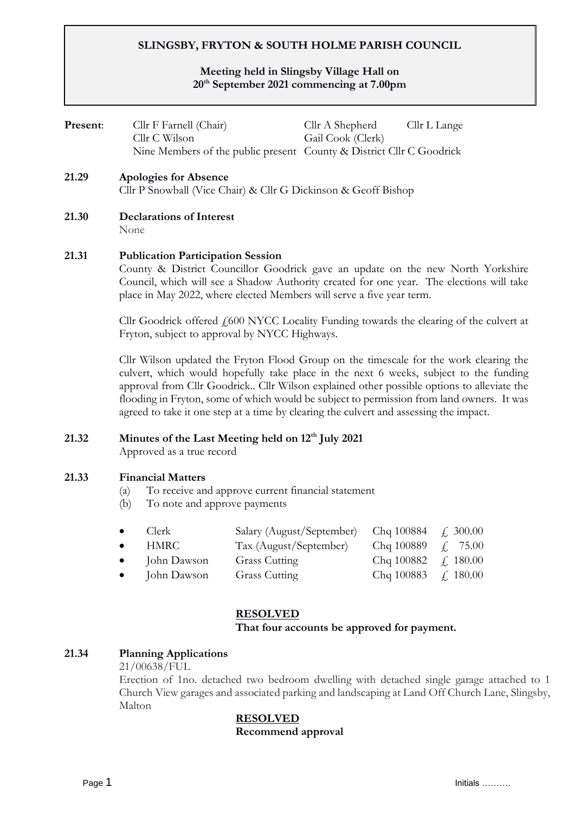# **SLINGSBY, FRYTON & SOUTH HOLME PARISH COUNCIL**

## **Meeting held in Slingsby Village Hall on 20th September 2021 commencing at 7.00pm**

| Present: | Cllr F Farnell (Chair)<br>Cllr C Wilson<br>Nine Members of the public present County & District Cllr C Goodrick                                                                                                                                                                                  | Cllr A Shepherd<br>Gail Cook (Clerk) | Cllr L Lange |  |  |
|----------|--------------------------------------------------------------------------------------------------------------------------------------------------------------------------------------------------------------------------------------------------------------------------------------------------|--------------------------------------|--------------|--|--|
| 21.29    | Apologies for Absence<br>Cllr P Snowball (Vice Chair) & Cllr G Dickinson & Geoff Bishop                                                                                                                                                                                                          |                                      |              |  |  |
| 21.30    | <b>Declarations of Interest</b><br>None                                                                                                                                                                                                                                                          |                                      |              |  |  |
| 21.31    | <b>Publication Participation Session</b><br>County & District Councillor Goodrick gave an update on the new North Yorkshire<br>Council, which will see a Shadow Authority created for one year. The elections will take<br>place in May 2022, where elected Members will serve a five year term. |                                      |              |  |  |

Cllr Goodrick offered  $f_1$ 600 NYCC Locality Funding towards the clearing of the culvert at Fryton, subject to approval by NYCC Highways.

Cllr Wilson updated the Fryton Flood Group on the timescale for the work clearing the culvert, which would hopefully take place in the next 6 weeks, subject to the funding approval from Cllr Goodrick.. Cllr Wilson explained other possible options to alleviate the flooding in Fryton, some of which would be subject to permission from land owners. It was agreed to take it one step at a time by clearing the culvert and assessing the impact.

# **21.32 Minutes of the Last Meeting held on 12th July 2021**

Approved as a true record

### **21.33 Financial Matters**

- (a) To receive and approve current financial statement
- (b) To note and approve payments

|           | $\bullet$ Clerk       | Salary (August/September) Chq 100884 $\neq$ 300.00 |            |                 |
|-----------|-----------------------|----------------------------------------------------|------------|-----------------|
| $\bullet$ | HMRC                  | Tax (August/September)                             | Chq 100889 | $\angle 75.00$  |
|           | $\bullet$ John Dawson | <b>Grass Cutting</b>                               | Chq 100882 | $\angle 180.00$ |
| $\bullet$ | John Dawson           | <b>Grass Cutting</b>                               | Chq 100883 | f. 180.00       |

#### **RESOLVED**

#### **That four accounts be approved for payment.**

### **21.34 Planning Applications**

21/00638/FUL

Erection of 1no. detached two bedroom dwelling with detached single garage attached to 1 Church View garages and associated parking and landscaping at Land Off Church Lane, Slingsby, Malton

#### **RESOLVED**

**Recommend approval**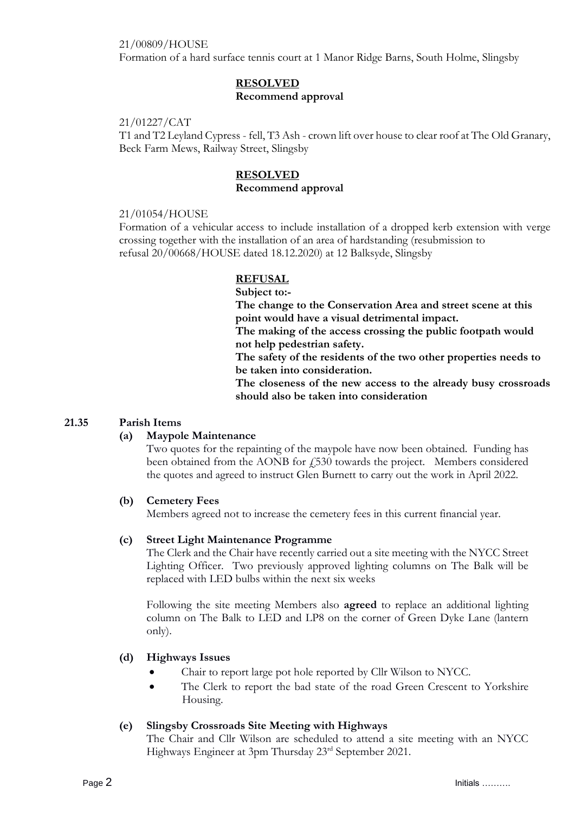### 21/00809/HOUSE

Formation of a hard surface tennis court at 1 Manor Ridge Barns, South Holme, Slingsby

# **RESOLVED Recommend approval**

#### 21/01227/CAT

T1 and T2 Leyland Cypress - fell, T3 Ash - crown lift over house to clear roof at The Old Granary, Beck Farm Mews, Railway Street, Slingsby

### **RESOLVED Recommend approval**

### 21/01054/HOUSE

Formation of a vehicular access to include installation of a dropped kerb extension with verge crossing together with the installation of an area of hardstanding (resubmission to refusal 20/00668/HOUSE dated 18.12.2020) at 12 Balksyde, Slingsby

### **REFUSAL**

**Subject to:- The change to the Conservation Area and street scene at this point would have a visual detrimental impact.**

**The making of the access crossing the public footpath would not help pedestrian safety.**

**The safety of the residents of the two other properties needs to be taken into consideration.**

**The closeness of the new access to the already busy crossroads should also be taken into consideration**

### **21.35 Parish Items**

### **(a) Maypole Maintenance**

Two quotes for the repainting of the maypole have now been obtained. Funding has been obtained from the AONB for £530 towards the project. Members considered the quotes and agreed to instruct Glen Burnett to carry out the work in April 2022.

### **(b) Cemetery Fees**

Members agreed not to increase the cemetery fees in this current financial year.

#### **(c) Street Light Maintenance Programme**

The Clerk and the Chair have recently carried out a site meeting with the NYCC Street Lighting Officer. Two previously approved lighting columns on The Balk will be replaced with LED bulbs within the next six weeks

Following the site meeting Members also **agreed** to replace an additional lighting column on The Balk to LED and LP8 on the corner of Green Dyke Lane (lantern only).

### **(d) Highways Issues**

- Chair to report large pot hole reported by Cllr Wilson to NYCC.
- The Clerk to report the bad state of the road Green Crescent to Yorkshire Housing.

### **(e) Slingsby Crossroads Site Meeting with Highways**

The Chair and Cllr Wilson are scheduled to attend a site meeting with an NYCC Highways Engineer at 3pm Thursday 23rd September 2021.